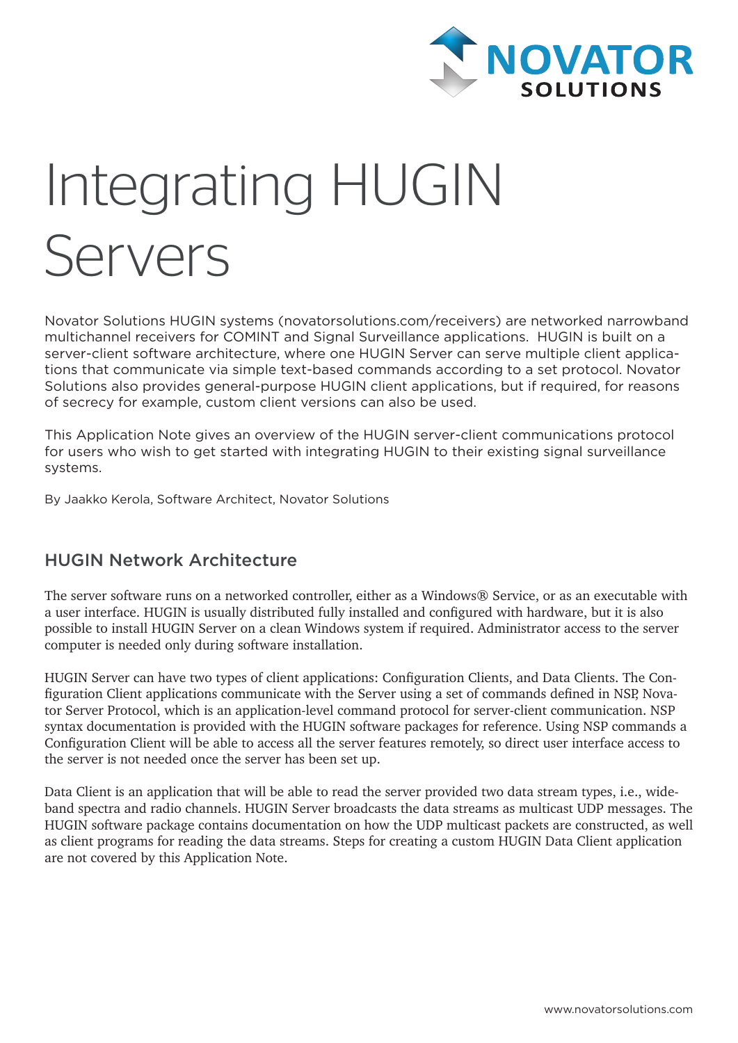

# Integrating HUGIN Servers

Novator Solutions HUGIN systems (novatorsolutions.com/receivers) are networked narrowband multichannel receivers for COMINT and Signal Surveillance applications. HUGIN is built on a server-client software architecture, where one HUGIN Server can serve multiple client applications that communicate via simple text-based commands according to a set protocol. Novator Solutions also provides general-purpose HUGIN client applications, but if required, for reasons of secrecy for example, custom client versions can also be used.

This Application Note gives an overview of the HUGIN server-client communications protocol for users who wish to get started with integrating HUGIN to their existing signal surveillance systems.

By Jaakko Kerola, Software Architect, Novator Solutions

#### HUGIN Network Architecture

The server software runs on a networked controller, either as a Windows® Service, or as an executable with a user interface. HUGIN is usually distributed fully installed and configured with hardware, but it is also possible to install HUGIN Server on a clean Windows system if required. Administrator access to the server computer is needed only during software installation.

HUGIN Server can have two types of client applications: Configuration Clients, and Data Clients. The Configuration Client applications communicate with the Server using a set of commands defined in NSP, Novator Server Protocol, which is an application-level command protocol for server-client communication. NSP syntax documentation is provided with the HUGIN software packages for reference. Using NSP commands a Configuration Client will be able to access all the server features remotely, so direct user interface access to the server is not needed once the server has been set up.

Data Client is an application that will be able to read the server provided two data stream types, i.e., wideband spectra and radio channels. HUGIN Server broadcasts the data streams as multicast UDP messages. The HUGIN software package contains documentation on how the UDP multicast packets are constructed, as well as client programs for reading the data streams. Steps for creating a custom HUGIN Data Client application are not covered by this Application Note.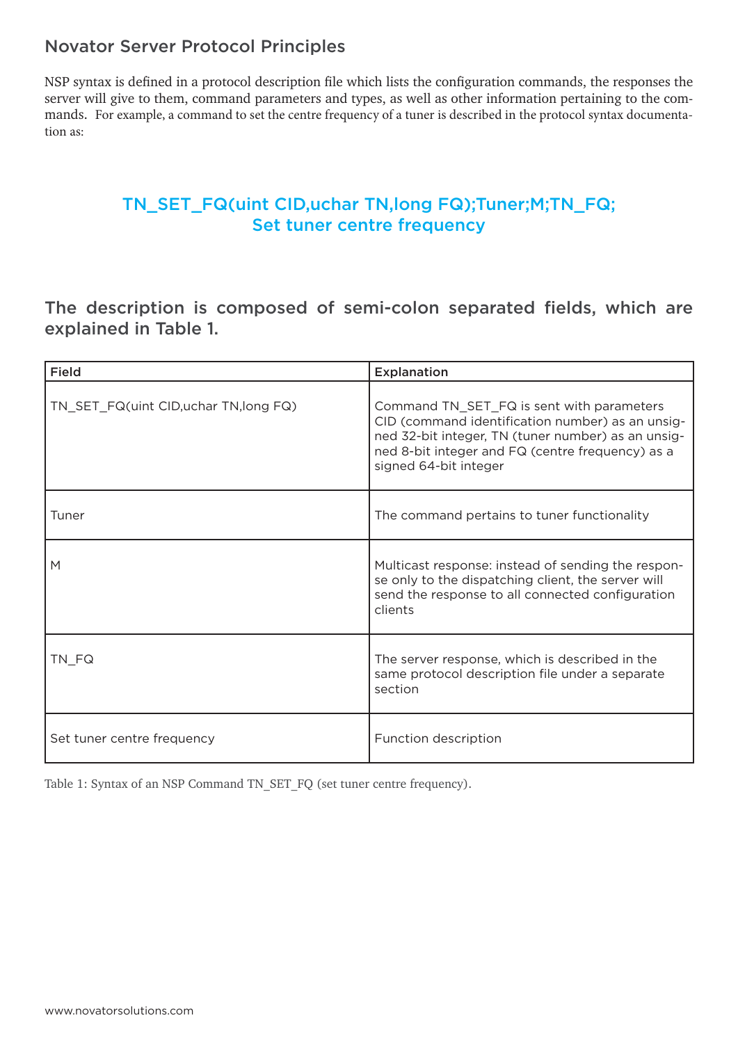#### Novator Server Protocol Principles

NSP syntax is defined in a protocol description file which lists the configuration commands, the responses the server will give to them, command parameters and types, as well as other information pertaining to the commands. For example, a command to set the centre frequency of a tuner is described in the protocol syntax documentation as:

#### TN\_SET\_FQ(uint CID,uchar TN,long FQ);Tuner;M;TN\_FQ; Set tuner centre frequency

The description is composed of semi-colon separated fields, which are explained in Table 1.

| <b>Field</b>                           | Explanation                                                                                                                                                                                                                      |
|----------------------------------------|----------------------------------------------------------------------------------------------------------------------------------------------------------------------------------------------------------------------------------|
| TN_SET_FQ(uint CID, uchar TN, long FQ) | Command TN_SET_FQ is sent with parameters<br>CID (command identification number) as an unsig-<br>ned 32-bit integer, TN (tuner number) as an unsig-<br>ned 8-bit integer and FQ (centre frequency) as a<br>signed 64-bit integer |
| Tuner                                  | The command pertains to tuner functionality                                                                                                                                                                                      |
| M                                      | Multicast response: instead of sending the respon-<br>se only to the dispatching client, the server will<br>send the response to all connected configuration<br>clients                                                          |
| TN_FQ                                  | The server response, which is described in the<br>same protocol description file under a separate<br>section                                                                                                                     |
| Set tuner centre frequency             | Function description                                                                                                                                                                                                             |

Table 1: Syntax of an NSP Command TN\_SET\_FQ (set tuner centre frequency).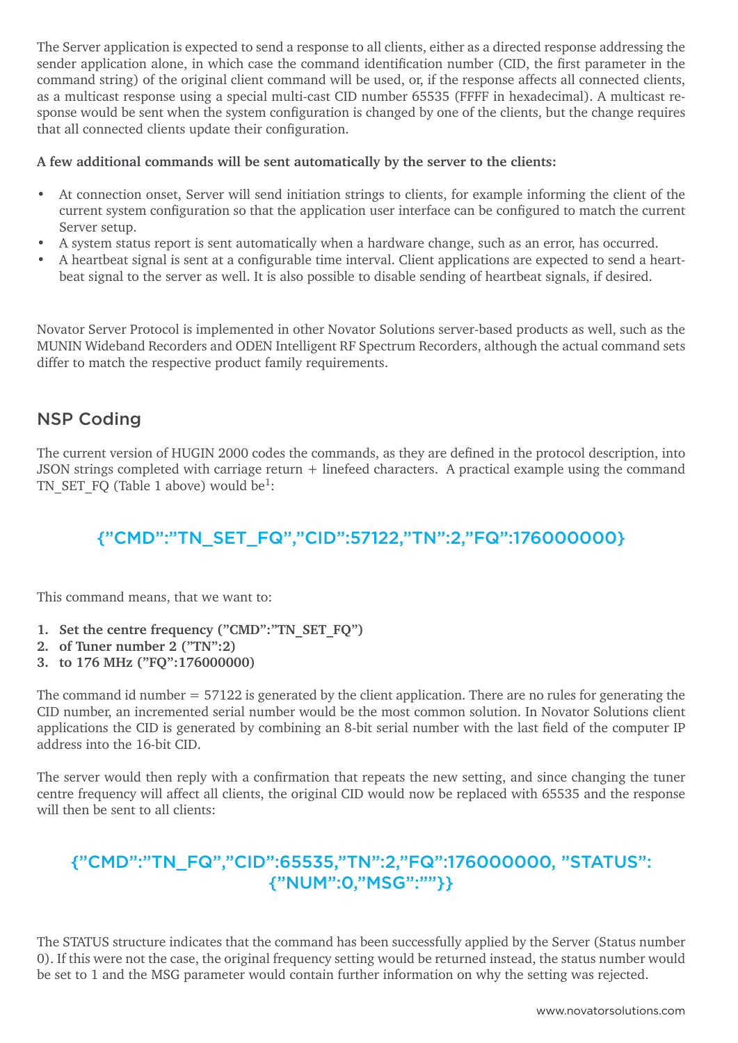The Server application is expected to send a response to all clients, either as a directed response addressing the sender application alone, in which case the command identification number (CID, the first parameter in the command string) of the original client command will be used, or, if the response affects all connected clients, as a multicast response using a special multi-cast CID number 65535 (FFFF in hexadecimal). A multicast response would be sent when the system configuration is changed by one of the clients, but the change requires that all connected clients update their configuration.

#### **A few additional commands will be sent automatically by the server to the clients:**

- At connection onset, Server will send initiation strings to clients, for example informing the client of the current system configuration so that the application user interface can be configured to match the current Server setup.
- A system status report is sent automatically when a hardware change, such as an error, has occurred.
- A heartbeat signal is sent at a configurable time interval. Client applications are expected to send a heartbeat signal to the server as well. It is also possible to disable sending of heartbeat signals, if desired.

Novator Server Protocol is implemented in other Novator Solutions server-based products as well, such as the MUNIN Wideband Recorders and ODEN Intelligent RF Spectrum Recorders, although the actual command sets differ to match the respective product family requirements.

#### NSP Coding

The current version of HUGIN 2000 codes the commands, as they are defined in the protocol description, into JSON strings completed with carriage return + linefeed characters. A practical example using the command TN SET FQ (Table 1 above) would be<sup>1</sup>:

# {"CMD":"TN\_SET\_FQ","CID":57122,"TN":2,"FQ":176000000}

This command means, that we want to:

- **1. Set the centre frequency ("CMD":"TN\_SET\_FQ")**
- **2. of Tuner number 2 ("TN":2)**
- **3. to 176 MHz ("FQ":176000000)**

The command id number = 57122 is generated by the client application. There are no rules for generating the CID number, an incremented serial number would be the most common solution. In Novator Solutions client applications the CID is generated by combining an 8-bit serial number with the last field of the computer IP address into the 16-bit CID.

The server would then reply with a confirmation that repeats the new setting, and since changing the tuner centre frequency will affect all clients, the original CID would now be replaced with 65535 and the response will then be sent to all clients:

# {"CMD":"TN\_FQ","CID":65535,"TN":2,"FQ":176000000, "STATUS": {"NUM":0,"MSG":""}}

The STATUS structure indicates that the command has been successfully applied by the Server (Status number 0). If this were not the case, the original frequency setting would be returned instead, the status number would be set to 1 and the MSG parameter would contain further information on why the setting was rejected.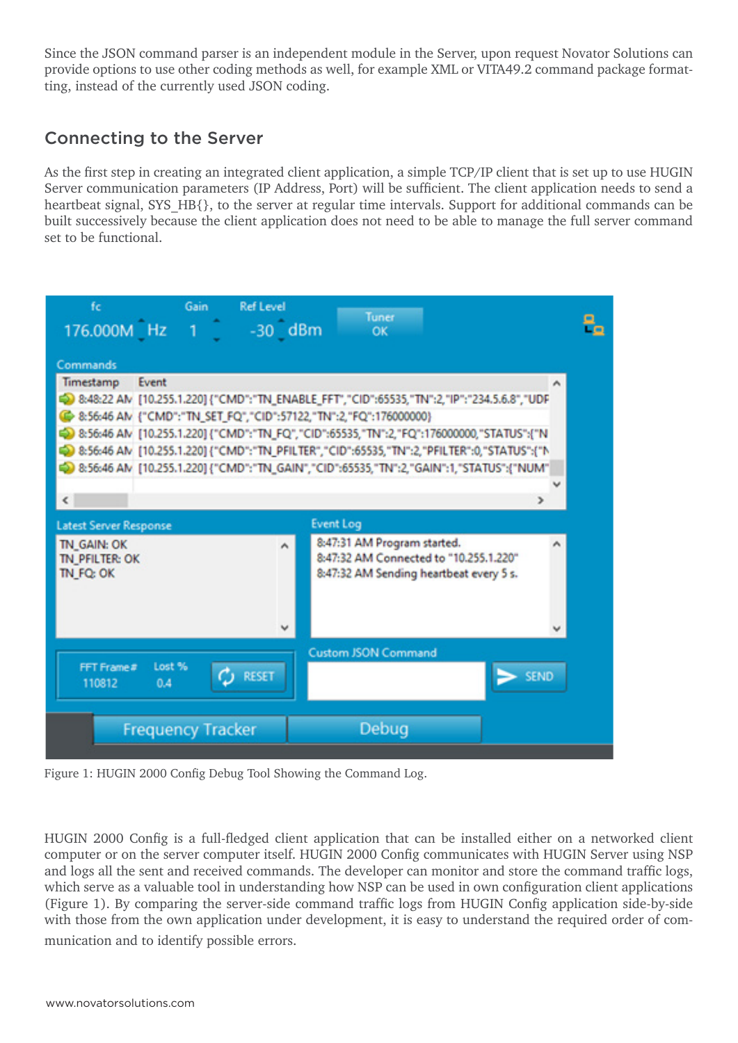Since the JSON command parser is an independent module in the Server, upon request Novator Solutions can provide options to use other coding methods as well, for example XML or VITA49.2 command package formatting, instead of the currently used JSON coding.

#### Connecting to the Server

As the first step in creating an integrated client application, a simple TCP/IP client that is set up to use HUGIN Server communication parameters (IP Address, Port) will be sufficient. The client application needs to send a heartbeat signal, SYS\_HB{}, to the server at regular time intervals. Support for additional commands can be built successively because the client application does not need to be able to manage the full server command set to be functional.



Figure 1: HUGIN 2000 Config Debug Tool Showing the Command Log.

HUGIN 2000 Config is a full-fledged client application that can be installed either on a networked client computer or on the server computer itself. HUGIN 2000 Config communicates with HUGIN Server using NSP and logs all the sent and received commands. The developer can monitor and store the command traffic logs, which serve as a valuable tool in understanding how NSP can be used in own configuration client applications (Figure 1). By comparing the server-side command traffic logs from HUGIN Config application side-by-side with those from the own application under development, it is easy to understand the required order of communication and to identify possible errors.